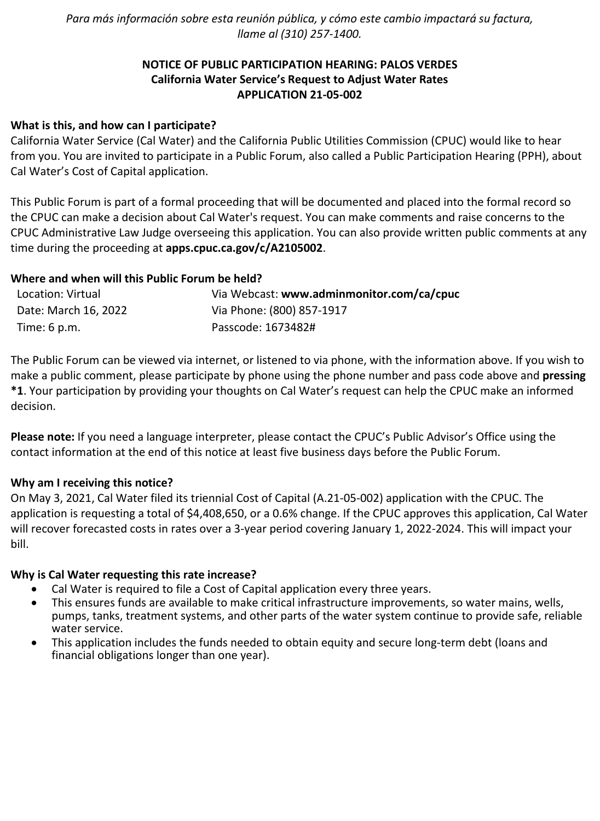*Para más información sobre esta reunión pública, y cómo este cambio impactará su factura, llame al (310) 257-1400.*

# **NOTICE OF PUBLIC PARTICIPATION HEARING: PALOS VERDES California Water Service's Request to Adjust Water Rates APPLICATION 21-05-002**

## **What is this, and how can I participate?**

California Water Service (Cal Water) and the California Public Utilities Commission (CPUC) would like to hear from you. You are invited to participate in a Public Forum, also called a Public Participation Hearing (PPH), about Cal Water's Cost of Capital application.

This Public Forum is part of a formal proceeding that will be documented and placed into the formal record so the CPUC can make a decision about Cal Water's request. You can make comments and raise concerns to the CPUC Administrative Law Judge overseeing this application. You can also provide written public comments at any time during the proceeding at **[apps.cpuc.ca.gov/c/A2105002](https://apps.cpuc.ca.gov/apex/f?p=401:65:0::NO:RP,57,RIR:P5_PROCEEDING_SELECT:A2105002)**.

## **Where and when will this Public Forum be held?**

| Location: Virtual    | Via Webcast: www.adminmonitor.com/ca/cpuc |
|----------------------|-------------------------------------------|
| Date: March 16, 2022 | Via Phone: (800) 857-1917                 |
| Time: $6$ p.m.       | Passcode: 1673482#                        |

The Public Forum can be viewed via internet, or listened to via phone, with the information above. If you wish to make a public comment, please participate by phone using the phone number and pass code above and **pressing \*1**. Your participation by providing your thoughts on Cal Water's request can help the CPUC make an informed decision.

**Please note:** If you need a language interpreter, please contact the CPUC's Public Advisor's Office using the contact information at the end of this notice at least five business days before the Public Forum.

#### **Why am I receiving this notice?**

On May 3, 2021, Cal Water filed its triennial Cost of Capital (A.21-05-002) application with the CPUC. The application is requesting a total of \$4,408,650, or a 0.6% change. If the CPUC approves this application, Cal Water will recover forecasted costs in rates over a 3-year period covering January 1, 2022-2024. This will impact your bill.

#### **Why is Cal Water requesting this rate increase?**

- Cal Water is required to file a Cost of Capital application every three years.
- This ensures funds are available to make critical infrastructure improvements, so water mains, wells, pumps, tanks, treatment systems, and other parts of the water system continue to provide safe, reliable water service.
- This application includes the funds needed to obtain equity and secure long-term debt (loans and financial obligations longer than one year).